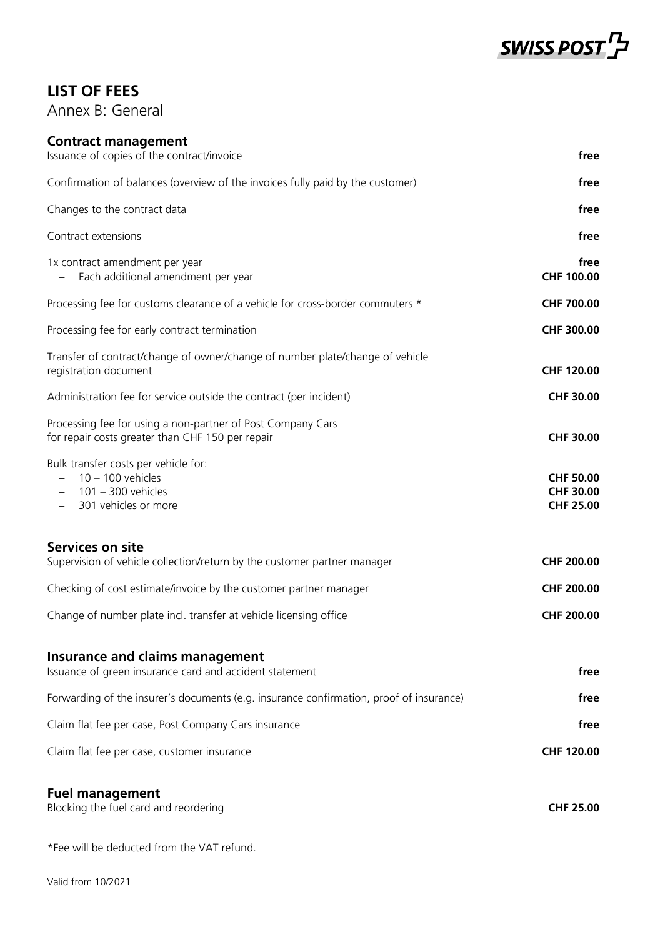

## **LIST OF FEES**

Annex B: General

### **Contract management**

| Issuance of copies of the contract/invoice                                                                      | free                                                     |
|-----------------------------------------------------------------------------------------------------------------|----------------------------------------------------------|
| Confirmation of balances (overview of the invoices fully paid by the customer)                                  | free                                                     |
| Changes to the contract data                                                                                    | free                                                     |
| Contract extensions                                                                                             | free                                                     |
| 1x contract amendment per year<br>Each additional amendment per year                                            | free<br>CHF 100.00                                       |
| Processing fee for customs clearance of a vehicle for cross-border commuters *                                  | CHF 700.00                                               |
| Processing fee for early contract termination                                                                   | CHF 300.00                                               |
| Transfer of contract/change of owner/change of number plate/change of vehicle<br>registration document          | CHF 120.00                                               |
| Administration fee for service outside the contract (per incident)                                              | <b>CHF 30.00</b>                                         |
| Processing fee for using a non-partner of Post Company Cars<br>for repair costs greater than CHF 150 per repair | <b>CHF 30.00</b>                                         |
| Bulk transfer costs per vehicle for:<br>$10 - 100$ vehicles<br>$101 - 300$ vehicles<br>301 vehicles or more     | <b>CHF 50.00</b><br><b>CHF 30.00</b><br><b>CHF 25.00</b> |
| Services on site<br>Supervision of vehicle collection/return by the customer partner manager                    | <b>CHF 200.00</b>                                        |
| Checking of cost estimate/invoice by the customer partner manager                                               | CHF 200.00                                               |
| Change of number plate incl. transfer at vehicle licensing office                                               | CHF 200.00                                               |
| <b>Insurance and claims management</b><br>Issuance of green insurance card and accident statement               | free                                                     |
| Forwarding of the insurer's documents (e.g. insurance confirmation, proof of insurance)                         | free                                                     |
| Claim flat fee per case, Post Company Cars insurance                                                            | free                                                     |
| Claim flat fee per case, customer insurance                                                                     | CHF 120.00                                               |
| <b>Fuel management</b><br>Blocking the fuel card and reordering                                                 | <b>CHF 25.00</b>                                         |
| *Fee will be deducted from the VAT refund.                                                                      |                                                          |

Valid from 10/2021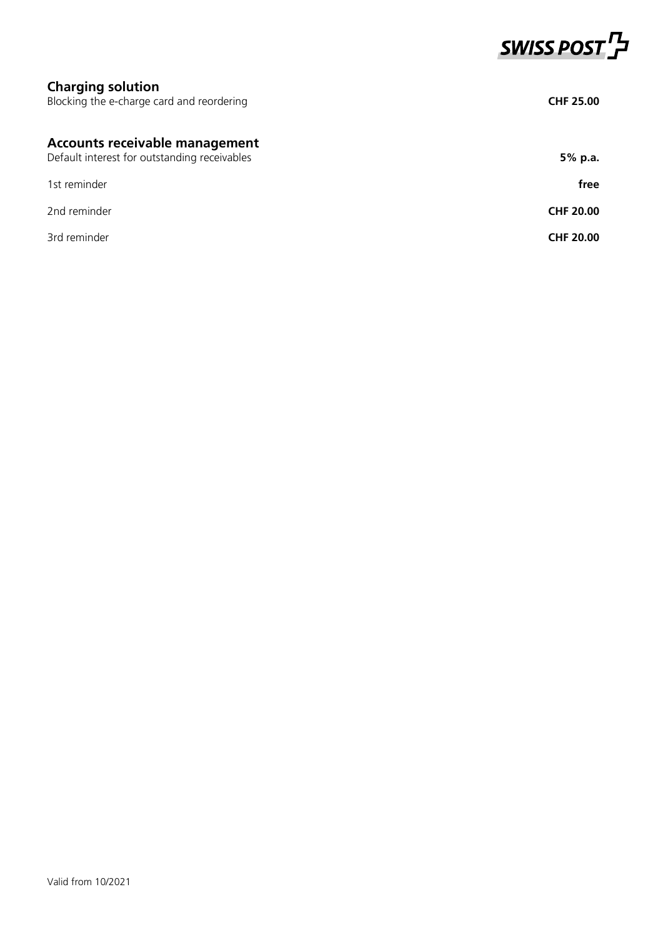

# **Charging solution** Blocking the e-charge card and reordering **CHF 25.00 Accounts receivable management** Default interest for outstanding receivables **5% p.a. 5% p.a.** 1st reminder **free** 2nd reminder **CHF 20.00** 3rd reminder **CHF 20.00**